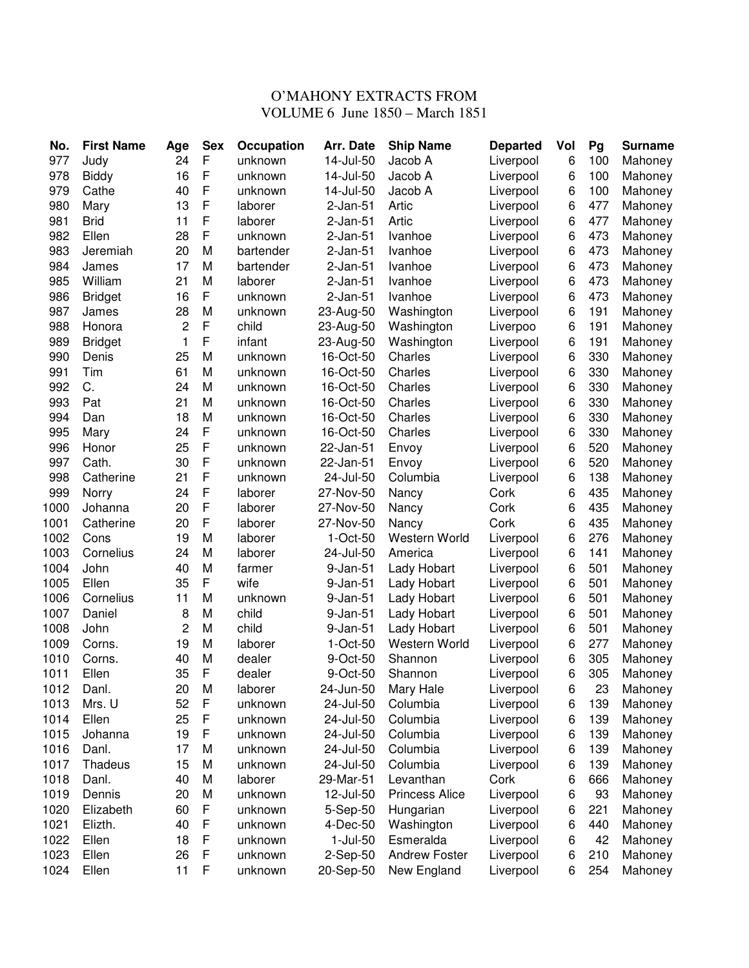## O'MAHONY EXTRACTS FROM VOLUME 6 June 1850 – March 1851

| No.  | <b>First Name</b> | Age         | <b>Sex</b>   | Occupation | <b>Arr. Date</b> | <b>Ship Name</b>      | <b>Departed</b> | Vol | Pg  | <b>Surname</b> |
|------|-------------------|-------------|--------------|------------|------------------|-----------------------|-----------------|-----|-----|----------------|
| 977  | Judy              | 24          | F            | unknown    | 14-Jul-50        | Jacob A               | Liverpool       | 6   | 100 | Mahoney        |
| 978  | <b>Biddy</b>      | 16          | $\mathsf{F}$ | unknown    | 14-Jul-50        | Jacob A               | Liverpool       | 6   | 100 | Mahoney        |
| 979  | Cathe             | 40          | F            | unknown    | 14-Jul-50        | Jacob A               | Liverpool       | 6   | 100 | Mahoney        |
| 980  | Mary              | 13          | F            | laborer    | $2-Jan-51$       | Artic                 | Liverpool       | 6   | 477 | Mahoney        |
| 981  | <b>Brid</b>       | 11          | F            | laborer    | $2-Jan-51$       | Artic                 | Liverpool       | 6   | 477 | Mahoney        |
| 982  | Ellen             | 28          | $\mathsf{F}$ | unknown    | $2-Jan-51$       | Ivanhoe               | Liverpool       | 6   | 473 | Mahoney        |
| 983  | Jeremiah          | 20          | M            | bartender  | $2-Jan-51$       | Ivanhoe               | Liverpool       | 6   | 473 | Mahoney        |
| 984  | James             | 17          | M            | bartender  | $2$ -Jan- $51$   | Ivanhoe               | Liverpool       | 6   | 473 | Mahoney        |
| 985  | William           | 21          | M            | laborer    | $2-Jan-51$       | Ivanhoe               | Liverpool       | 6   | 473 | Mahoney        |
| 986  | <b>Bridget</b>    | 16          | $\mathsf F$  | unknown    | $2-Jan-51$       | Ivanhoe               | Liverpool       | 6   | 473 | Mahoney        |
| 987  | James             | 28          | M            | unknown    | 23-Aug-50        | Washington            | Liverpool       | 6   | 191 | Mahoney        |
| 988  | Honora            | 2           | F            | child      | 23-Aug-50        | Washington            | Liverpoo        | 6   | 191 | Mahoney        |
| 989  | <b>Bridget</b>    | $\mathbf 1$ | F            | infant     | 23-Aug-50        | Washington            | Liverpool       | 6   | 191 | Mahoney        |
| 990  | Denis             | 25          | M            | unknown    | 16-Oct-50        | Charles               | Liverpool       | 6   | 330 | Mahoney        |
| 991  | Tim               | 61          | M            | unknown    | 16-Oct-50        | Charles               | Liverpool       | 6   | 330 | Mahoney        |
| 992  | C.                | 24          | M            | unknown    | 16-Oct-50        | Charles               | Liverpool       | 6   | 330 | Mahoney        |
| 993  | Pat               | 21          | M            | unknown    | 16-Oct-50        | Charles               | Liverpool       | 6   | 330 | Mahoney        |
| 994  | Dan               | 18          | M            | unknown    | 16-Oct-50        | Charles               | Liverpool       | 6   | 330 | Mahoney        |
| 995  | Mary              | 24          | F            | unknown    | 16-Oct-50        | Charles               | Liverpool       | 6   | 330 | Mahoney        |
| 996  | Honor             | 25          | F            | unknown    | 22-Jan-51        | Envoy                 | Liverpool       | 6   | 520 | Mahoney        |
| 997  | Cath.             | 30          | F            | unknown    | 22-Jan-51        | Envoy                 | Liverpool       | 6   | 520 | Mahoney        |
| 998  | Catherine         | 21          | F            | unknown    | 24-Jul-50        | Columbia              | Liverpool       | 6   | 138 | Mahoney        |
| 999  | Norry             | 24          | $\mathsf F$  | laborer    | 27-Nov-50        | Nancy                 | Cork            | 6   | 435 | Mahoney        |
| 1000 | Johanna           | 20          | $\mathsf F$  | laborer    | 27-Nov-50        | Nancy                 | Cork            | 6   | 435 | Mahoney        |
| 1001 | Catherine         | 20          | F            | laborer    | 27-Nov-50        | Nancy                 | Cork            | 6   | 435 | Mahoney        |
| 1002 | Cons              | 19          | M            | laborer    | 1-Oct-50         | Western World         | Liverpool       | 6   | 276 | Mahoney        |
| 1003 | Cornelius         | 24          | M            | laborer    | 24-Jul-50        | America               | Liverpool       | 6   | 141 | Mahoney        |
| 1004 | John              | 40          | M            | farmer     | 9-Jan-51         | Lady Hobart           | Liverpool       | 6   | 501 | Mahoney        |
| 1005 | Ellen             | 35          | F            | wife       | 9-Jan-51         | Lady Hobart           | Liverpool       | 6   | 501 | Mahoney        |
| 1006 | Cornelius         | 11          | M            | unknown    | 9-Jan-51         | Lady Hobart           | Liverpool       | 6   | 501 | Mahoney        |
| 1007 | Daniel            | 8           | M            | child      | 9-Jan-51         | Lady Hobart           | Liverpool       | 6   | 501 | Mahoney        |
| 1008 | John              | 2           | M            | child      | 9-Jan-51         | Lady Hobart           | Liverpool       | 6   | 501 | Mahoney        |
| 1009 | Corns.            | 19          | M            | laborer    | 1-Oct-50         | Western World         | Liverpool       | 6   | 277 | Mahoney        |
| 1010 | Corns.            | 40          | M            | dealer     | 9-Oct-50         | Shannon               | Liverpool       | 6   | 305 | Mahoney        |
| 1011 | Ellen             | 35          | F            | dealer     | 9-Oct-50         | Shannon               | Liverpool       | 6   | 305 | Mahoney        |
| 1012 | Danl.             | 20          | M            | laborer    | 24-Jun-50        | Mary Hale             | Liverpool       | 6   | 23  | Mahoney        |
| 1013 | Mrs. U            | 52          | F            | unknown    | 24-Jul-50        | Columbia              | Liverpool       | 6   | 139 | Mahoney        |
| 1014 | Ellen             | 25          | $\mathsf F$  | unknown    | 24-Jul-50        | Columbia              | Liverpool       | 6   | 139 | Mahoney        |
| 1015 | Johanna           | 19          | F            | unknown    | 24-Jul-50        | Columbia              | Liverpool       | 6   | 139 | Mahoney        |
| 1016 | Danl.             | 17          | M            | unknown    | 24-Jul-50        | Columbia              | Liverpool       | 6   | 139 | Mahoney        |
| 1017 | Thadeus           | 15          | M            | unknown    | 24-Jul-50        | Columbia              | Liverpool       | 6   | 139 | Mahoney        |
| 1018 | Danl.             | 40          | M            | laborer    | 29-Mar-51        | Levanthan             | Cork            | 6   | 666 | Mahoney        |
| 1019 | Dennis            | 20          | M            | unknown    | 12-Jul-50        | <b>Princess Alice</b> | Liverpool       | 6   | 93  | Mahoney        |
| 1020 | Elizabeth         | 60          | F            | unknown    | 5-Sep-50         | Hungarian             | Liverpool       | 6   | 221 | Mahoney        |
| 1021 | Elizth.           | 40          | $\mathsf F$  | unknown    | 4-Dec-50         | Washington            | Liverpool       | 6   | 440 | Mahoney        |
| 1022 | Ellen             | 18          | $\mathsf F$  | unknown    | $1-Jul-50$       | Esmeralda             | Liverpool       | 6   | 42  | Mahoney        |
| 1023 | Ellen             | 26          | $\mathsf F$  | unknown    | 2-Sep-50         | Andrew Foster         | Liverpool       | 6   | 210 | Mahoney        |
| 1024 | Ellen             | 11          | $\mathsf F$  | unknown    | 20-Sep-50        | New England           | Liverpool       | 6   | 254 | Mahoney        |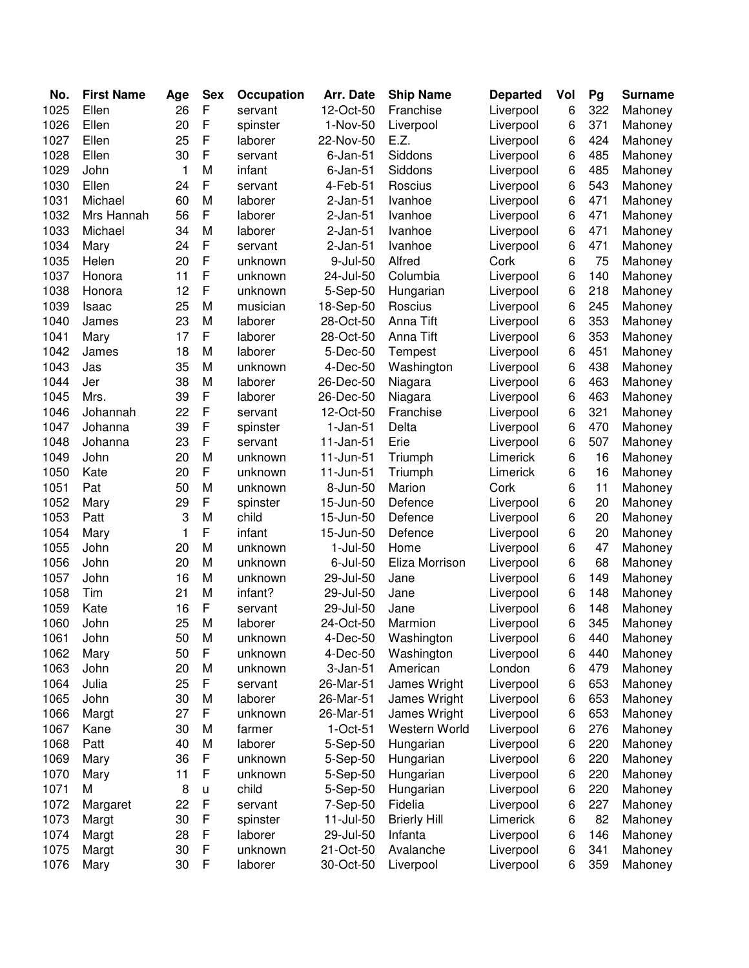| No.  | <b>First Name</b> | Age | <b>Sex</b>  | Occupation | Arr. Date      | <b>Ship Name</b>    | <b>Departed</b> | Vol | Pg  | <b>Surname</b> |
|------|-------------------|-----|-------------|------------|----------------|---------------------|-----------------|-----|-----|----------------|
| 1025 | Ellen             | 26  | F           | servant    | 12-Oct-50      | Franchise           | Liverpool       | 6   | 322 | Mahoney        |
| 1026 | Ellen             | 20  | F           | spinster   | 1-Nov-50       | Liverpool           | Liverpool       | 6   | 371 | Mahoney        |
| 1027 | Ellen             | 25  | F           | laborer    | 22-Nov-50      | E.Z.                | Liverpool       | 6   | 424 | Mahoney        |
| 1028 | Ellen             | 30  | F           | servant    | $6$ -Jan- $51$ | Siddons             | Liverpool       | 6   | 485 | Mahoney        |
| 1029 | John              | 1   | M           | infant     | $6$ -Jan- $51$ | Siddons             | Liverpool       | 6   | 485 | Mahoney        |
| 1030 | Ellen             | 24  | F           | servant    | 4-Feb-51       | Roscius             | Liverpool       | 6   | 543 | Mahoney        |
| 1031 | Michael           | 60  | M           | laborer    | $2-Jan-51$     | Ivanhoe             | Liverpool       | 6   | 471 | Mahoney        |
| 1032 | Mrs Hannah        | 56  | F           | laborer    | $2-Jan-51$     | Ivanhoe             | Liverpool       | 6   | 471 | Mahoney        |
| 1033 | Michael           | 34  | M           | laborer    | $2$ -Jan- $51$ | Ivanhoe             | Liverpool       | 6   | 471 | Mahoney        |
| 1034 | Mary              | 24  | F           | servant    | $2-Jan-51$     | Ivanhoe             | Liverpool       | 6   | 471 | Mahoney        |
| 1035 | Helen             | 20  | F           | unknown    | 9-Jul-50       | Alfred              | Cork            | 6   | 75  | Mahoney        |
| 1037 | Honora            | 11  | F           | unknown    | 24-Jul-50      | Columbia            | Liverpool       | 6   | 140 | Mahoney        |
| 1038 | Honora            | 12  | F           | unknown    | 5-Sep-50       | Hungarian           | Liverpool       | 6   | 218 | Mahoney        |
| 1039 | Isaac             | 25  | M           | musician   | 18-Sep-50      | Roscius             | Liverpool       | 6   | 245 | Mahoney        |
| 1040 | James             | 23  | M           | laborer    | 28-Oct-50      | Anna Tift           | Liverpool       | 6   | 353 | Mahoney        |
| 1041 | Mary              | 17  | F           | laborer    | 28-Oct-50      | Anna Tift           | Liverpool       | 6   | 353 | Mahoney        |
| 1042 | James             | 18  | M           | laborer    | 5-Dec-50       | Tempest             | Liverpool       | 6   | 451 | Mahoney        |
| 1043 | Jas               | 35  | M           | unknown    | 4-Dec-50       | Washington          | Liverpool       | 6   | 438 | Mahoney        |
| 1044 | Jer               | 38  | M           | laborer    | 26-Dec-50      | Niagara             | Liverpool       | 6   | 463 | Mahoney        |
| 1045 | Mrs.              | 39  | F           | laborer    | 26-Dec-50      | Niagara             | Liverpool       | 6   | 463 | Mahoney        |
| 1046 | Johannah          | 22  | F           | servant    | 12-Oct-50      | Franchise           | Liverpool       | 6   | 321 | Mahoney        |
| 1047 | Johanna           | 39  | F           | spinster   | $1-Jan-51$     | Delta               | Liverpool       | 6   | 470 | Mahoney        |
| 1048 | Johanna           | 23  | F           | servant    | 11-Jan-51      | Erie                | Liverpool       | 6   | 507 | Mahoney        |
| 1049 | John              | 20  | M           | unknown    | 11-Jun-51      | Triumph             | Limerick        | 6   | 16  | Mahoney        |
| 1050 | Kate              | 20  | F           | unknown    | 11-Jun-51      | Triumph             | Limerick        | 6   | 16  | Mahoney        |
| 1051 | Pat               | 50  | M           | unknown    | 8-Jun-50       | Marion              | Cork            | 6   | 11  | Mahoney        |
| 1052 | Mary              | 29  | F           | spinster   | 15-Jun-50      | Defence             | Liverpool       | 6   | 20  | Mahoney        |
| 1053 | Patt              | 3   | M           | child      | 15-Jun-50      | Defence             | Liverpool       | 6   | 20  | Mahoney        |
| 1054 | Mary              | 1   | F           | infant     | 15-Jun-50      | Defence             | Liverpool       | 6   | 20  | Mahoney        |
| 1055 | John              | 20  | M           | unknown    | $1-Jul-50$     | Home                | Liverpool       | 6   | 47  | Mahoney        |
| 1056 | John              | 20  | M           | unknown    | $6$ -Jul- $50$ | Eliza Morrison      | Liverpool       | 6   | 68  | Mahoney        |
| 1057 | John              | 16  | M           | unknown    | 29-Jul-50      | Jane                | Liverpool       | 6   | 149 | Mahoney        |
| 1058 | Tim               | 21  | M           | infant?    | 29-Jul-50      | Jane                | Liverpool       | 6   | 148 | Mahoney        |
| 1059 | Kate              | 16  | F           | servant    | 29-Jul-50      | Jane                | Liverpool       | 6   | 148 | Mahoney        |
| 1060 | John              | 25  | M           | laborer    | 24-Oct-50      | Marmion             | Liverpool       | 6   | 345 | Mahoney        |
| 1061 | John              | 50  | M           | unknown    | 4-Dec-50       | Washington          | Liverpool       | 6   | 440 | Mahoney        |
| 1062 | Mary              | 50  | F           | unknown    | 4-Dec-50       | Washington          | Liverpool       | 6   | 440 | Mahoney        |
| 1063 | John              | 20  | M           | unknown    | $3-Jan-51$     | American            | London          | 6   | 479 | Mahoney        |
| 1064 | Julia             | 25  | F           | servant    | 26-Mar-51      | James Wright        | Liverpool       | 6   | 653 | Mahoney        |
| 1065 | John              | 30  | M           | laborer    | 26-Mar-51      | James Wright        | Liverpool       | 6   | 653 | Mahoney        |
| 1066 | Margt             | 27  | F           | unknown    | 26-Mar-51      | James Wright        | Liverpool       | 6   | 653 | Mahoney        |
| 1067 | Kane              | 30  | M           | farmer     | $1-Oct-51$     | Western World       | Liverpool       | 6   | 276 | Mahoney        |
| 1068 | Patt              | 40  | M           | laborer    | 5-Sep-50       | Hungarian           | Liverpool       | 6   | 220 | Mahoney        |
| 1069 | Mary              | 36  | F           | unknown    | 5-Sep-50       | Hungarian           | Liverpool       | 6   | 220 | Mahoney        |
| 1070 | Mary              | 11  | F           | unknown    | 5-Sep-50       | Hungarian           | Liverpool       | 6   | 220 | Mahoney        |
| 1071 | M                 | 8   | u           | child      | 5-Sep-50       | Hungarian           | Liverpool       | 6   | 220 | Mahoney        |
| 1072 | Margaret          | 22  | $\mathsf F$ | servant    | 7-Sep-50       | Fidelia             | Liverpool       | 6   | 227 | Mahoney        |
| 1073 | Margt             | 30  | $\mathsf F$ | spinster   | 11-Jul-50      | <b>Brierly Hill</b> | Limerick        | 6   | 82  | Mahoney        |
| 1074 | Margt             | 28  | F           | laborer    | 29-Jul-50      | Infanta             | Liverpool       | 6   | 146 | Mahoney        |
| 1075 | Margt             | 30  | F           | unknown    | 21-Oct-50      | Avalanche           | Liverpool       | 6   | 341 | Mahoney        |
| 1076 | Mary              | 30  | F           | laborer    | 30-Oct-50      | Liverpool           | Liverpool       | 6   | 359 | Mahoney        |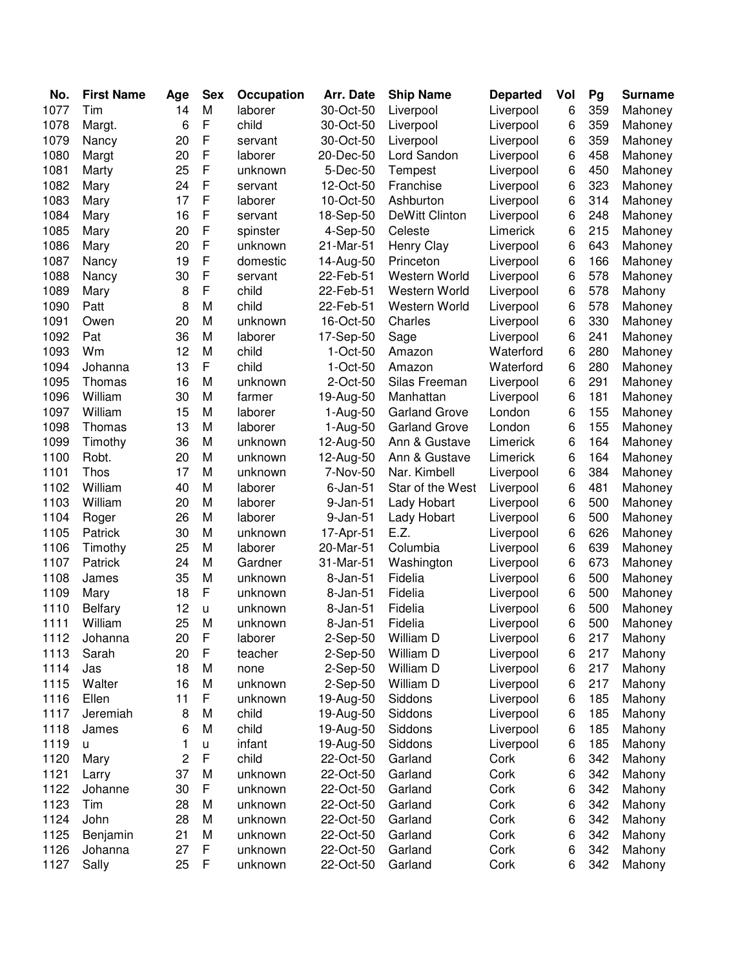| No.  | <b>First Name</b> | Age | <b>Sex</b>   | Occupation | Arr. Date      | <b>Ship Name</b>     | <b>Departed</b> | Vol | Pg  | <b>Surname</b> |
|------|-------------------|-----|--------------|------------|----------------|----------------------|-----------------|-----|-----|----------------|
| 1077 | Tim               | 14  | M            | laborer    | 30-Oct-50      | Liverpool            | Liverpool       | 6   | 359 | Mahoney        |
| 1078 | Margt.            | 6   | $\mathsf{F}$ | child      | 30-Oct-50      | Liverpool            | Liverpool       | 6   | 359 | Mahoney        |
| 1079 | Nancy             | 20  | $\mathsf{F}$ | servant    | 30-Oct-50      | Liverpool            | Liverpool       | 6   | 359 | Mahoney        |
| 1080 | Margt             | 20  | $\mathsf{F}$ | laborer    | 20-Dec-50      | Lord Sandon          | Liverpool       | 6   | 458 | Mahoney        |
| 1081 | Marty             | 25  | $\mathsf{F}$ | unknown    | 5-Dec-50       | Tempest              | Liverpool       | 6   | 450 | Mahoney        |
| 1082 | Mary              | 24  | F            | servant    | 12-Oct-50      | Franchise            | Liverpool       | 6   | 323 | Mahoney        |
| 1083 | Mary              | 17  | F            | laborer    | 10-Oct-50      | Ashburton            | Liverpool       | 6   | 314 | Mahoney        |
| 1084 | Mary              | 16  | F            | servant    | 18-Sep-50      | DeWitt Clinton       | Liverpool       | 6   | 248 | Mahoney        |
| 1085 | Mary              | 20  | $\mathsf F$  | spinster   | 4-Sep-50       | Celeste              | Limerick        | 6   | 215 | Mahoney        |
| 1086 | Mary              | 20  | F            | unknown    | 21-Mar-51      | Henry Clay           | Liverpool       | 6   | 643 | Mahoney        |
| 1087 | Nancy             | 19  | $\mathsf{F}$ | domestic   | 14-Aug-50      | Princeton            | Liverpool       | 6   | 166 | Mahoney        |
| 1088 | Nancy             | 30  | $\mathsf F$  | servant    | 22-Feb-51      | Western World        | Liverpool       | 6   | 578 | Mahoney        |
| 1089 | Mary              | 8   | $\mathsf{F}$ | child      | 22-Feb-51      | Western World        | Liverpool       | 6   | 578 | Mahony         |
| 1090 | Patt              | 8   | M            | child      | 22-Feb-51      | Western World        | Liverpool       | 6   | 578 | Mahoney        |
| 1091 | Owen              | 20  | M            | unknown    | 16-Oct-50      | Charles              | Liverpool       | 6   | 330 | Mahoney        |
| 1092 | Pat               | 36  | M            | laborer    | 17-Sep-50      | Sage                 | Liverpool       | 6   | 241 | Mahoney        |
| 1093 | Wm                | 12  | M            | child      | $1-Oct-50$     | Amazon               | Waterford       | 6   | 280 | Mahoney        |
| 1094 | Johanna           | 13  | $\mathsf{F}$ | child      | 1-Oct-50       | Amazon               | Waterford       | 6   | 280 | Mahoney        |
| 1095 | Thomas            | 16  | M            | unknown    | 2-Oct-50       | Silas Freeman        | Liverpool       | 6   | 291 | Mahoney        |
| 1096 | William           | 30  | M            | farmer     | 19-Aug-50      | Manhattan            | Liverpool       | 6   | 181 | Mahoney        |
| 1097 | William           | 15  | M            | laborer    | 1-Aug-50       | <b>Garland Grove</b> | London          | 6   | 155 | Mahoney        |
| 1098 | Thomas            | 13  | M            | laborer    | 1-Aug-50       | <b>Garland Grove</b> | London          | 6   | 155 | Mahoney        |
| 1099 | Timothy           | 36  | M            | unknown    | 12-Aug-50      | Ann & Gustave        | Limerick        | 6   | 164 | Mahoney        |
| 1100 | Robt.             | 20  | M            | unknown    | 12-Aug-50      | Ann & Gustave        | Limerick        | 6   | 164 | Mahoney        |
| 1101 | <b>Thos</b>       | 17  | M            | unknown    | 7-Nov-50       | Nar. Kimbell         | Liverpool       | 6   | 384 | Mahoney        |
| 1102 | William           | 40  | M            | laborer    | $6$ -Jan- $51$ | Star of the West     | Liverpool       | 6   | 481 | Mahoney        |
| 1103 | William           | 20  | M            | laborer    | 9-Jan-51       | Lady Hobart          | Liverpool       | 6   | 500 | Mahoney        |
| 1104 | Roger             | 26  | M            | laborer    | 9-Jan-51       | Lady Hobart          | Liverpool       | 6   | 500 | Mahoney        |
| 1105 | Patrick           | 30  | M            | unknown    | 17-Apr-51      | E.Z.                 | Liverpool       | 6   | 626 | Mahoney        |
| 1106 | Timothy           | 25  | M            | laborer    | 20-Mar-51      | Columbia             | Liverpool       | 6   | 639 | Mahoney        |
| 1107 | Patrick           | 24  | M            | Gardner    | 31-Mar-51      | Washington           | Liverpool       | 6   | 673 | Mahoney        |
| 1108 | James             | 35  | M            | unknown    | 8-Jan-51       | Fidelia              | Liverpool       | 6   | 500 | Mahoney        |
| 1109 | Mary              | 18  | F            | unknown    | 8-Jan-51       | Fidelia              | Liverpool       | 6   | 500 | Mahoney        |
| 1110 | <b>Belfary</b>    | 12  | $\sf u$      | unknown    | 8-Jan-51       | Fidelia              | Liverpool       | 6   | 500 | Mahoney        |
| 1111 | William           | 25  | M            | unknown    | 8-Jan-51       | Fidelia              | Liverpool       | 6   | 500 | Mahoney        |
| 1112 | Johanna           | 20  | $\mathsf F$  | laborer    | 2-Sep-50       | William D            | Liverpool       | 6   | 217 | Mahony         |
| 1113 | Sarah             | 20  | $\mathsf F$  | teacher    | 2-Sep-50       | William D            | Liverpool       | 6   | 217 | Mahony         |
| 1114 | Jas               | 18  | M            | none       | 2-Sep-50       | William D            | Liverpool       | 6   | 217 | Mahony         |
| 1115 | Walter            | 16  | M            | unknown    | 2-Sep-50       | William D            | Liverpool       | 6   | 217 | Mahony         |
| 1116 | Ellen             | 11  | F            | unknown    | 19-Aug-50      | Siddons              | Liverpool       | 6   | 185 | Mahony         |
| 1117 | Jeremiah          | 8   | M            | child      | 19-Aug-50      | Siddons              | Liverpool       | 6   | 185 | Mahony         |
| 1118 | James             | 6   | M            | child      | 19-Aug-50      | Siddons              | Liverpool       | 6   | 185 | Mahony         |
| 1119 | U.                | 1   | u            | infant     | 19-Aug-50      | Siddons              | Liverpool       | 6   | 185 | Mahony         |
| 1120 | Mary              | 2   | $\mathsf F$  | child      | 22-Oct-50      | Garland              | Cork            | 6   | 342 | Mahony         |
| 1121 | Larry             | 37  | M            | unknown    | 22-Oct-50      | Garland              | Cork            | 6   | 342 | Mahony         |
| 1122 | Johanne           | 30  | F            | unknown    | 22-Oct-50      | Garland              | Cork            | 6   | 342 | Mahony         |
| 1123 | Tim               | 28  | M            | unknown    | 22-Oct-50      | Garland              | Cork            | 6   | 342 | Mahony         |
| 1124 | John              | 28  | M            | unknown    | 22-Oct-50      | Garland              | Cork            | 6   | 342 | Mahony         |
| 1125 | Benjamin          | 21  | M            | unknown    | 22-Oct-50      | Garland              | Cork            | 6   | 342 | Mahony         |
| 1126 | Johanna           | 27  | $\mathsf F$  | unknown    | 22-Oct-50      | Garland              | Cork            | 6   | 342 | Mahony         |
| 1127 | Sally             | 25  | $\mathsf F$  | unknown    | 22-Oct-50      | Garland              | Cork            | 6   | 342 | Mahony         |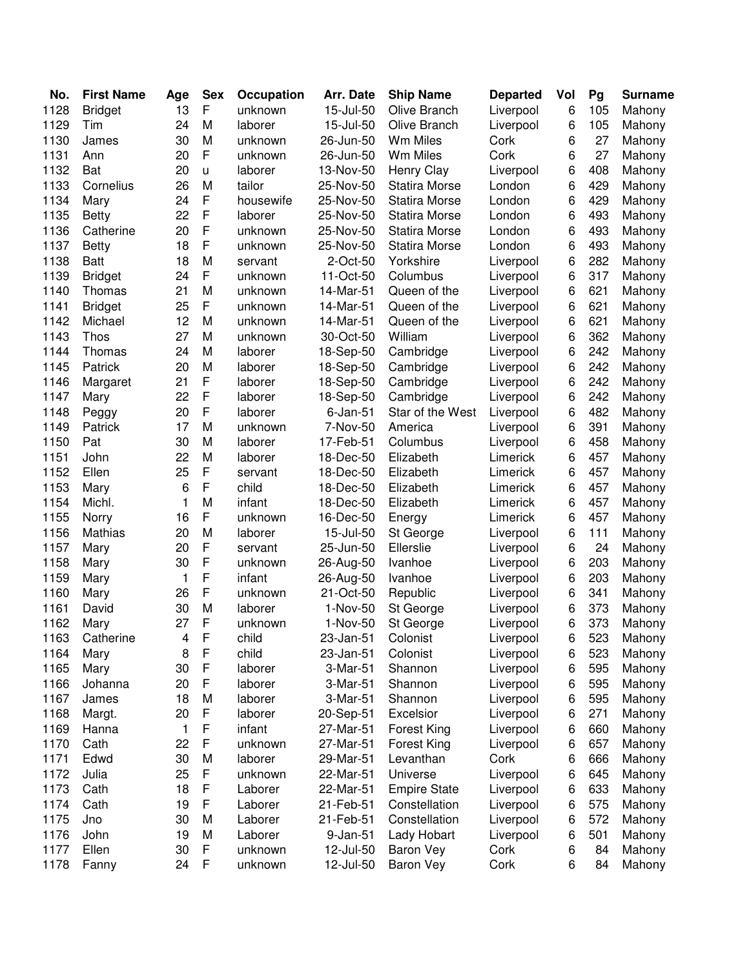| No.  | <b>First Name</b> | Age | <b>Sex</b>  | Occupation | Arr. Date      | <b>Ship Name</b>     | <b>Departed</b> | Vol | Pg  | <b>Surname</b> |
|------|-------------------|-----|-------------|------------|----------------|----------------------|-----------------|-----|-----|----------------|
| 1128 | <b>Bridget</b>    | 13  | F           | unknown    | 15-Jul-50      | Olive Branch         | Liverpool       | 6   | 105 | Mahony         |
| 1129 | Tim               | 24  | M           | laborer    | 15-Jul-50      | Olive Branch         | Liverpool       | 6   | 105 | Mahony         |
| 1130 | James             | 30  | M           | unknown    | 26-Jun-50      | Wm Miles             | Cork            | 6   | 27  | Mahony         |
| 1131 | Ann               | 20  | F           | unknown    | 26-Jun-50      | Wm Miles             | Cork            | 6   | 27  | Mahony         |
| 1132 | Bat               | 20  | u           | laborer    | 13-Nov-50      | <b>Henry Clay</b>    | Liverpool       | 6   | 408 | Mahony         |
| 1133 | Cornelius         | 26  | M           | tailor     | 25-Nov-50      | <b>Statira Morse</b> | London          | 6   | 429 | Mahony         |
| 1134 | Mary              | 24  | F           | housewife  | 25-Nov-50      | <b>Statira Morse</b> | London          | 6   | 429 | Mahony         |
| 1135 | <b>Betty</b>      | 22  | F           | laborer    | 25-Nov-50      | <b>Statira Morse</b> | London          | 6   | 493 | Mahony         |
| 1136 | Catherine         | 20  | F           | unknown    | 25-Nov-50      | <b>Statira Morse</b> | London          | 6   | 493 | Mahony         |
| 1137 | <b>Betty</b>      | 18  | F           | unknown    | 25-Nov-50      | <b>Statira Morse</b> | London          | 6   | 493 | Mahony         |
| 1138 | <b>Batt</b>       | 18  | M           | servant    | 2-Oct-50       | Yorkshire            | Liverpool       | 6   | 282 | Mahony         |
| 1139 | <b>Bridget</b>    | 24  | $\mathsf F$ | unknown    | 11-Oct-50      | Columbus             | Liverpool       | 6   | 317 | Mahony         |
| 1140 | Thomas            | 21  | M           | unknown    | 14-Mar-51      | Queen of the         | Liverpool       | 6   | 621 | Mahony         |
| 1141 | <b>Bridget</b>    | 25  | F           | unknown    | 14-Mar-51      | Queen of the         | Liverpool       | 6   | 621 | Mahony         |
| 1142 | Michael           | 12  | M           | unknown    | 14-Mar-51      | Queen of the         | Liverpool       | 6   | 621 | Mahony         |
| 1143 | Thos              | 27  | M           | unknown    | 30-Oct-50      | William              | Liverpool       | 6   | 362 | Mahony         |
| 1144 | Thomas            | 24  | M           | laborer    | 18-Sep-50      | Cambridge            | Liverpool       | 6   | 242 | Mahony         |
| 1145 | Patrick           | 20  | M           | laborer    | 18-Sep-50      | Cambridge            | Liverpool       | 6   | 242 | Mahony         |
| 1146 | Margaret          | 21  | F           | laborer    | 18-Sep-50      | Cambridge            | Liverpool       | 6   | 242 | Mahony         |
| 1147 | Mary              | 22  | F           | laborer    | 18-Sep-50      | Cambridge            | Liverpool       | 6   | 242 | Mahony         |
| 1148 | Peggy             | 20  | F           | laborer    | $6$ -Jan- $51$ | Star of the West     | Liverpool       | 6   | 482 | Mahony         |
| 1149 | Patrick           | 17  | M           | unknown    | 7-Nov-50       | America              | Liverpool       | 6   | 391 | Mahony         |
| 1150 | Pat               | 30  | M           | laborer    | 17-Feb-51      | Columbus             | Liverpool       | 6   | 458 | Mahony         |
| 1151 | John              | 22  | M           | laborer    | 18-Dec-50      | Elizabeth            | Limerick        | 6   | 457 | Mahony         |
| 1152 | Ellen             | 25  | F           | servant    | 18-Dec-50      | Elizabeth            | Limerick        | 6   | 457 | Mahony         |
| 1153 | Mary              | 6   | F           | child      | 18-Dec-50      | Elizabeth            | Limerick        | 6   | 457 | Mahony         |
| 1154 | Michl.            | 1   | M           | infant     | 18-Dec-50      | Elizabeth            | Limerick        | 6   | 457 | Mahony         |
| 1155 | Norry             | 16  | $\mathsf F$ | unknown    | 16-Dec-50      | Energy               | Limerick        | 6   | 457 | Mahony         |
| 1156 | Mathias           | 20  | M           | laborer    | 15-Jul-50      | St George            | Liverpool       | 6   | 111 | Mahony         |
| 1157 | Mary              | 20  | F           | servant    | 25-Jun-50      | Ellerslie            | Liverpool       | 6   | 24  | Mahony         |
| 1158 | Mary              | 30  | F           | unknown    | 26-Aug-50      | Ivanhoe              | Liverpool       | 6   | 203 | Mahony         |
| 1159 | Mary              | 1   | F           | infant     | 26-Aug-50      | Ivanhoe              | Liverpool       | 6   | 203 | Mahony         |
| 1160 | Mary              | 26  | $\mathsf F$ | unknown    | 21-Oct-50      | Republic             | Liverpool       | 6   | 341 | Mahony         |
| 1161 | David             | 30  | M           | laborer    | 1-Nov-50       | St George            | Liverpool       | 6   | 373 | Mahony         |
| 1162 | Mary              | 27  | F           | unknown    | 1-Nov-50       | St George            | Liverpool       | 6   | 373 | Mahony         |
| 1163 | Catherine         | 4   | $\mathsf F$ | child      | 23-Jan-51      | Colonist             | Liverpool       | 6   | 523 | Mahony         |
| 1164 | Mary              | 8   | $\mathsf F$ | child      | 23-Jan-51      | Colonist             | Liverpool       | 6   | 523 | Mahony         |
| 1165 | Mary              | 30  | $\mathsf F$ | laborer    | 3-Mar-51       | Shannon              | Liverpool       | 6   | 595 | Mahony         |
| 1166 | Johanna           | 20  | F           | laborer    | 3-Mar-51       | Shannon              | Liverpool       | 6   | 595 | Mahony         |
| 1167 | James             | 18  | M           | laborer    | 3-Mar-51       | Shannon              | Liverpool       | 6   | 595 | Mahony         |
| 1168 | Margt.            | 20  | F           | laborer    | 20-Sep-51      | Excelsior            | Liverpool       | 6   | 271 | Mahony         |
| 1169 | Hanna             | 1   | $\mathsf F$ | infant     | 27-Mar-51      | Forest King          | Liverpool       | 6   | 660 | Mahony         |
| 1170 | Cath              | 22  | F           | unknown    | 27-Mar-51      | Forest King          | Liverpool       | 6   | 657 | Mahony         |
| 1171 | Edwd              | 30  | M           | laborer    | 29-Mar-51      | Levanthan            | Cork            | 6   | 666 | Mahony         |
| 1172 | Julia             | 25  | $\mathsf F$ | unknown    | 22-Mar-51      | Universe             | Liverpool       | 6   | 645 | Mahony         |
| 1173 | Cath              | 18  | $\mathsf F$ | Laborer    | 22-Mar-51      | <b>Empire State</b>  | Liverpool       | 6   | 633 | Mahony         |
| 1174 | Cath              | 19  | $\mathsf F$ | Laborer    | 21-Feb-51      | Constellation        | Liverpool       | 6   | 575 | Mahony         |
| 1175 | Jno               | 30  | M           | Laborer    | 21-Feb-51      | Constellation        | Liverpool       | 6   | 572 | Mahony         |
| 1176 | John              | 19  | M           | Laborer    | 9-Jan-51       | Lady Hobart          | Liverpool       | 6   | 501 | Mahony         |
| 1177 | Ellen             | 30  | $\mathsf F$ | unknown    | 12-Jul-50      | <b>Baron Vey</b>     | Cork            | 6   | 84  | Mahony         |
| 1178 | Fanny             | 24  | F           | unknown    | 12-Jul-50      | <b>Baron Vey</b>     | Cork            | 6   | 84  | Mahony         |